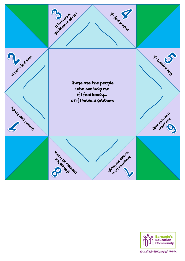



EDUCATORS - BARNARDOS. ORG.UK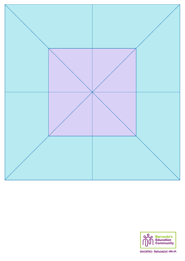



EDUCATORS-BARNARDOS. ORG.UK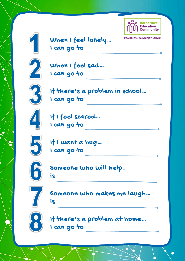

EDUCATORS-BARNARDOS. ORG. UK



When I feel lonely… I can go to



When I feel sad… I can go to



If there's a problem in school… I can go to



If I feel scared… I can go to



If I want a hug… I can go to



Someone who will help…





Someone who makes me laugh… is



If there's a problem at home… I can go to